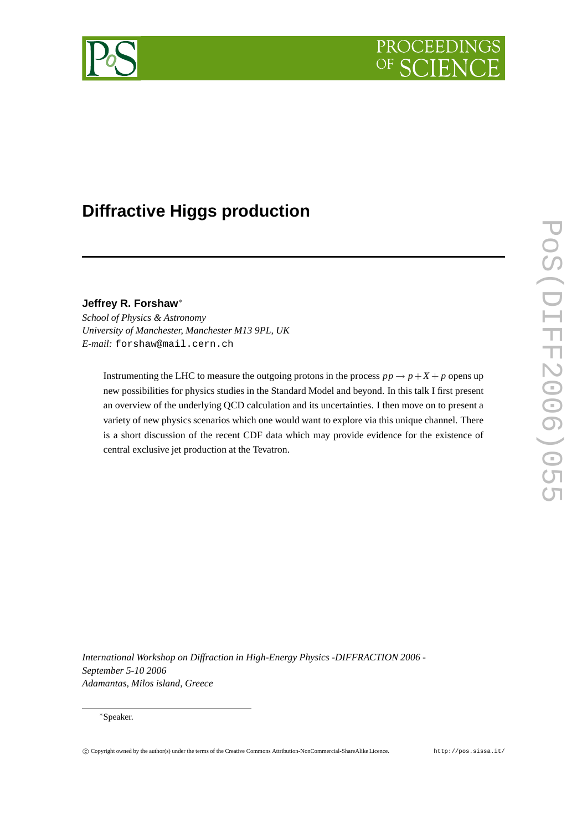



# **Diffractive Higgs production**

**Jeffrey R. Forshaw**<sup>∗</sup>

*School of Physics & Astronomy University of Manchester, Manchester M13 9PL, UK E-mail:* forshaw@mail.cern.ch

Instrumenting the LHC to measure the outgoing protons in the process  $pp \rightarrow p + X + p$  opens up new possibilities for physics studies in the Standard Model and beyond. In this talk I first present an overview of the underlying QCD calculation and its uncertainties. I then move on to present a variety of new physics scenarios which one would want to explore via this unique channel. There is a short discussion of the recent CDF data which may provide evidence for the existence of central exclusive jet production at the Tevatron.

*International Workshop on Diffraction in High-Energy Physics -DIFFRACTION 2006 - September 5-10 2006 Adamantas, Milos island, Greece*

# <sup>∗</sup>Speaker.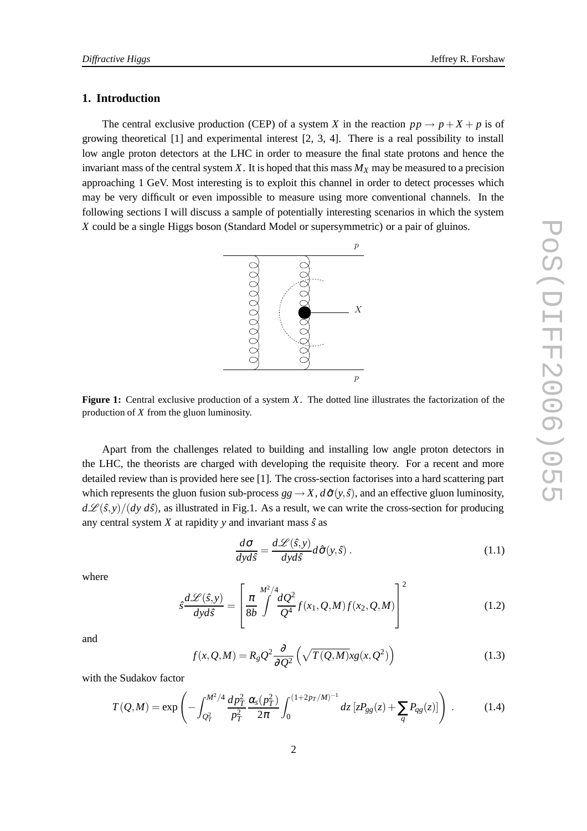# **1. Introduction**

The central exclusive production (CEP) of a system *X* in the reaction  $pp \rightarrow p + X + p$  is of growing theoretical [1] and experimental interest [2, 3, 4]. There is a real possibility to install low angle proton detectors at the LHC in order to measure the final state protons and hence the invariant mass of the central system *X*. It is hoped that this mass  $M_X$  may be measured to a precision approaching 1 GeV. Most interesting is to exploit this channel in order to detect processes which may be very difficult or even impossible to measure using more conventional channels. In the following sections I will discuss a sample of potentially interesting scenarios in which the system *X* could be a single Higgs boson (Standard Model or supersymmetric) or a pair of gluinos.



**Figure 1:** Central exclusive production of a system *X*. The dotted line illustrates the factorization of the production of *X* from the gluon luminosity.

Apart from the challenges related to building and installing low angle proton detectors in the LHC, the theorists are charged with developing the requisite theory. For a recent and more detailed review than is provided here see [1]. The cross-section factorises into a hard scattering part which represents the gluon fusion sub-process  $gg \to X$ ,  $d\hat{\sigma}(y, \hat{s})$ , and an effective gluon luminosity,  $d\mathcal{L}(\hat{s}, y)/(dy d\hat{s})$ , as illustrated in Fig.1. As a result, we can write the cross-section for producing any central system  $X$  at rapidity  $y$  and invariant mass  $\hat{s}$  as

$$
\frac{d\sigma}{dyd\hat{s}} = \frac{d\mathcal{L}(\hat{s}, y)}{dyd\hat{s}} d\hat{\sigma}(y, \hat{s}).
$$
\n(1.1)

where

$$
\hat{s}\frac{d\mathcal{L}(\hat{s},y)}{dyd\hat{s}} = \left[\frac{\pi}{8b} \int \frac{dQ^2}{Q^4} f(x_1, Q, M) f(x_2, Q, M)\right]^2 \tag{1.2}
$$

and

$$
f(x,Q,M) = R_g Q^2 \frac{\partial}{\partial Q^2} \left( \sqrt{T(Q,M)} x g(x,Q^2) \right)
$$
 (1.3)

with the Sudakov factor

$$
T(Q,M) = \exp\left(-\int_{Q_T^2}^{M^2/4} \frac{dp_T^2}{p_T^2} \frac{\alpha_s(p_T^2)}{2\pi} \int_0^{(1+2p_T/M)^{-1}} dz \left[zP_{gg}(z) + \sum_q P_{qg}(z)\right]\right) \,. \tag{1.4}
$$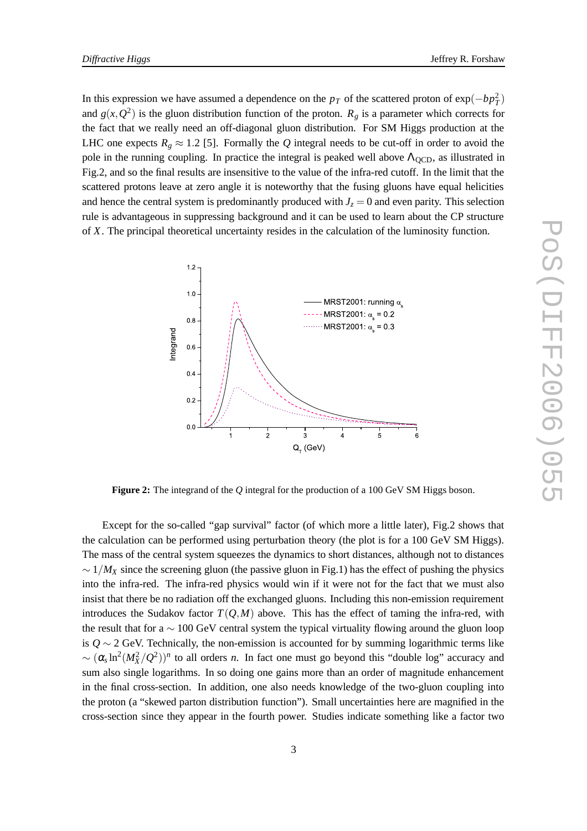In this expression we have assumed a dependence on the  $p_T$  of the scattered proton of  $\exp(-bp_T^2)$ and  $g(x, Q^2)$  is the gluon distribution function of the proton.  $R_g$  is a parameter which corrects for the fact that we really need an off-diagonal gluon distribution. For SM Higgs production at the LHC one expects  $R_g \approx 1.2$  [5]. Formally the *Q* integral needs to be cut-off in order to avoid the pole in the running coupling. In practice the integral is peaked well above  $\Lambda_{\text{OCD}}$ , as illustrated in Fig.2, and so the final results are insensitive to the value of the infra-red cutoff. In the limit that the scattered protons leave at zero angle it is noteworthy that the fusing gluons have equal helicities and hence the central system is predominantly produced with  $J_z = 0$  and even parity. This selection rule is advantageous in suppressing background and it can be used to learn about the CP structure of *X*. The principal theoretical uncertainty resides in the calculation of the luminosity function.



**Figure 2:** The integrand of the *Q* integral for the production of a 100 GeV SM Higgs boson.

Except for the so-called "gap survival" factor (of which more a little later), Fig.2 shows that the calculation can be performed using perturbation theory (the plot is for a 100 GeV SM Higgs). The mass of the central system squeezes the dynamics to short distances, although not to distances  $\sim 1/M_X$  since the screening gluon (the passive gluon in Fig.1) has the effect of pushing the physics into the infra-red. The infra-red physics would win if it were not for the fact that we must also insist that there be no radiation off the exchanged gluons. Including this non-emission requirement introduces the Sudakov factor  $T(Q,M)$  above. This has the effect of taming the infra-red, with the result that for a  $\sim 100 \text{ GeV}$  central system the typical virtuality flowing around the gluon loop is  $Q \sim$  2 GeV. Technically, the non-emission is accounted for by summing logarithmic terms like  $\sim (\alpha_s \ln^2(M_X^2/Q^2))^n$  to all orders *n*. In fact one must go beyond this "double log" accuracy and sum also single logarithms. In so doing one gains more than an order of magnitude enhancement in the final cross-section. In addition, one also needs knowledge of the two-gluon coupling into the proton (a "skewed parton distribution function"). Small uncertainties here are magnified in the cross-section since they appear in the fourth power. Studies indicate something like a factor two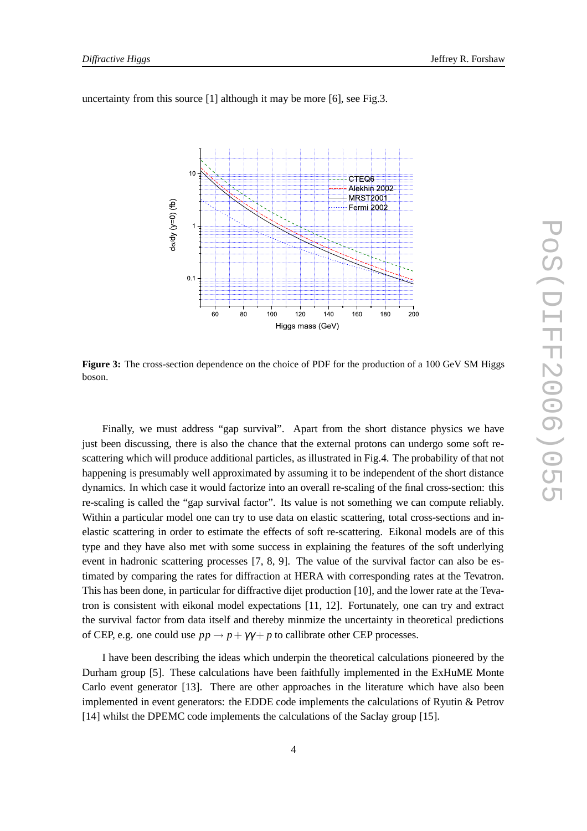

uncertainty from this source [1] although it may be more [6], see Fig.3.

**Figure 3:** The cross-section dependence on the choice of PDF for the production of a 100 GeV SM Higgs boson.

Finally, we must address "gap survival". Apart from the short distance physics we have just been discussing, there is also the chance that the external protons can undergo some soft rescattering which will produce additional particles, as illustrated in Fig.4. The probability of that not happening is presumably well approximated by assuming it to be independent of the short distance dynamics. In which case it would factorize into an overall re-scaling of the final cross-section: this re-scaling is called the "gap survival factor". Its value is not something we can compute reliably. Within a particular model one can try to use data on elastic scattering, total cross-sections and inelastic scattering in order to estimate the effects of soft re-scattering. Eikonal models are of this type and they have also met with some success in explaining the features of the soft underlying event in hadronic scattering processes [7, 8, 9]. The value of the survival factor can also be estimated by comparing the rates for diffraction at HERA with corresponding rates at the Tevatron. This has been done, in particular for diffractive dijet production [10], and the lower rate at the Tevatron is consistent with eikonal model expectations [11, 12]. Fortunately, one can try and extract the survival factor from data itself and thereby minmize the uncertainty in theoretical predictions of CEP, e.g. one could use  $pp \rightarrow p + \gamma \gamma + p$  to callibrate other CEP processes.

I have been describing the ideas which underpin the theoretical calculations pioneered by the Durham group [5]. These calculations have been faithfully implemented in the ExHuME Monte Carlo event generator [13]. There are other approaches in the literature which have also been implemented in event generators: the EDDE code implements the calculations of Ryutin & Petrov [14] whilst the DPEMC code implements the calculations of the Saclay group [15].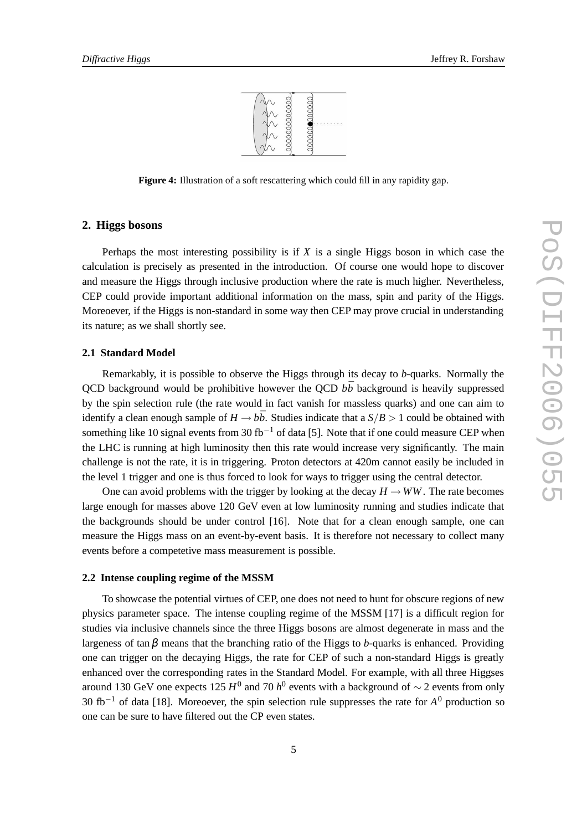

**Figure 4:** Illustration of a soft rescattering which could fill in any rapidity gap.

# **2. Higgs bosons**

Perhaps the most interesting possibility is if *X* is a single Higgs boson in which case the calculation is precisely as presented in the introduction. Of course one would hope to discover and measure the Higgs through inclusive production where the rate is much higher. Nevertheless, CEP could provide important additional information on the mass, spin and parity of the Higgs. Moreoever, if the Higgs is non-standard in some way then CEP may prove crucial in understanding its nature; as we shall shortly see.

## **2.1 Standard Model**

Remarkably, it is possible to observe the Higgs through its decay to *b*-quarks. Normally the QCD background would be prohibitive however the QCD  $b\bar{b}$  background is heavily suppressed by the spin selection rule (the rate would in fact vanish for massless quarks) and one can aim to identify a clean enough sample of  $H \rightarrow b\bar{b}$ . Studies indicate that a  $S/B > 1$  could be obtained with something like 10 signal events from 30 fb<sup>-1</sup> of data [5]. Note that if one could measure CEP when the LHC is running at high luminosity then this rate would increase very significantly. The main challenge is not the rate, it is in triggering. Proton detectors at 420m cannot easily be included in the level 1 trigger and one is thus forced to look for ways to trigger using the central detector.

One can avoid problems with the trigger by looking at the decay  $H \to WW$ . The rate becomes large enough for masses above 120 GeV even at low luminosity running and studies indicate that the backgrounds should be under control [16]. Note that for a clean enough sample, one can measure the Higgs mass on an event-by-event basis. It is therefore not necessary to collect many events before a competetive mass measurement is possible.

### **2.2 Intense coupling regime of the MSSM**

To showcase the potential virtues of CEP, one does not need to hunt for obscure regions of new physics parameter space. The intense coupling regime of the MSSM [17] is a difficult region for studies via inclusive channels since the three Higgs bosons are almost degenerate in mass and the largeness of tan  $\beta$  means that the branching ratio of the Higgs to *b*-quarks is enhanced. Providing one can trigger on the decaying Higgs, the rate for CEP of such a non-standard Higgs is greatly enhanced over the corresponding rates in the Standard Model. For example, with all three Higgses around 130 GeV one expects 125  $H^0$  and 70  $h^0$  events with a background of  $\sim$  2 events from only 30 fb−<sup>1</sup> of data [18]. Moreoever, the spin selection rule suppresses the rate for *A* <sup>0</sup> production so one can be sure to have filtered out the CP even states.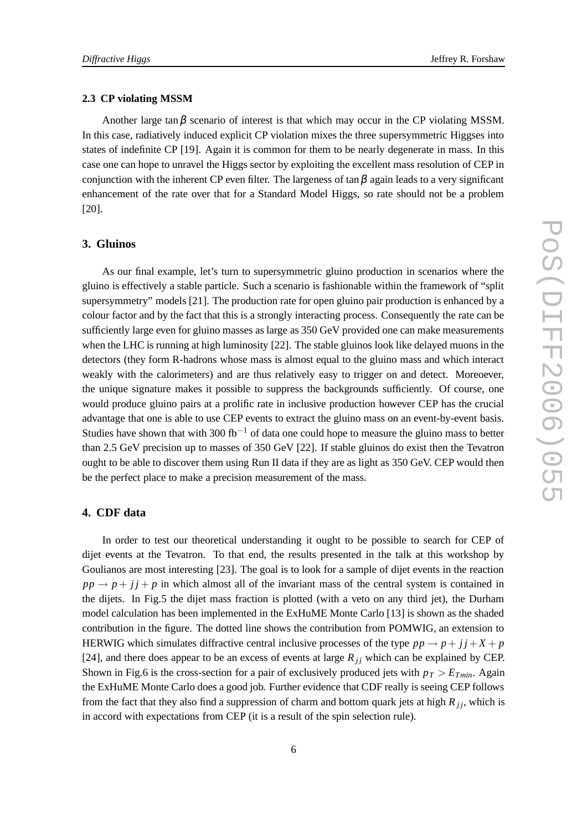#### **2.3 CP violating MSSM**

Another large tan $\beta$  scenario of interest is that which may occur in the CP violating MSSM. In this case, radiatively induced explicit CP violation mixes the three supersymmetric Higgses into states of indefinite CP [19]. Again it is common for them to be nearly degenerate in mass. In this case one can hope to unravel the Higgs sector by exploiting the excellent mass resolution of CEP in conjunction with the inherent CP even filter. The largeness of tan  $\beta$  again leads to a very significant enhancement of the rate over that for a Standard Model Higgs, so rate should not be a problem [20].

# **3. Gluinos**

As our final example, let's turn to supersymmetric gluino production in scenarios where the gluino is effectively a stable particle. Such a scenario is fashionable within the framework of "split supersymmetry" models [21]. The production rate for open gluino pair production is enhanced by a colour factor and by the fact that this is a strongly interacting process. Consequently the rate can be sufficiently large even for gluino masses as large as 350 GeV provided one can make measurements when the LHC is running at high luminosity [22]. The stable gluinos look like delayed muons in the detectors (they form R-hadrons whose mass is almost equal to the gluino mass and which interact weakly with the calorimeters) and are thus relatively easy to trigger on and detect. Moreoever, the unique signature makes it possible to suppress the backgrounds sufficiently. Of course, one would produce gluino pairs at a prolific rate in inclusive production however CEP has the crucial advantage that one is able to use CEP events to extract the gluino mass on an event-by-event basis. Studies have shown that with 300 fb<sup>-1</sup> of data one could hope to measure the gluino mass to better than 2.5 GeV precision up to masses of 350 GeV [22]. If stable gluinos do exist then the Tevatron ought to be able to discover them using Run II data if they are as light as 350 GeV. CEP would then be the perfect place to make a precision measurement of the mass.

# **4. CDF data**

In order to test our theoretical understanding it ought to be possible to search for CEP of dijet events at the Tevatron. To that end, the results presented in the talk at this workshop by Goulianos are most interesting [23]. The goal is to look for a sample of dijet events in the reaction  $pp \rightarrow p + i\dot{j} + p$  in which almost all of the invariant mass of the central system is contained in the dijets. In Fig.5 the dijet mass fraction is plotted (with a veto on any third jet), the Durham model calculation has been implemented in the ExHuME Monte Carlo [13] is shown as the shaded contribution in the figure. The dotted line shows the contribution from POMWIG, an extension to HERWIG which simulates diffractive central inclusive processes of the type  $pp \rightarrow p + j j + X + p$ [24], and there does appear to be an excess of events at large  $R_{ij}$  which can be explained by CEP. Shown in Fig.6 is the cross-section for a pair of exclusively produced jets with  $p_T > E_{Tmin}$ . Again the ExHuME Monte Carlo does a good job. Further evidence that CDF really is seeing CEP follows from the fact that they also find a suppression of charm and bottom quark jets at high  $R_{jj}$ , which is in accord with expectations from CEP (it is a result of the spin selection rule).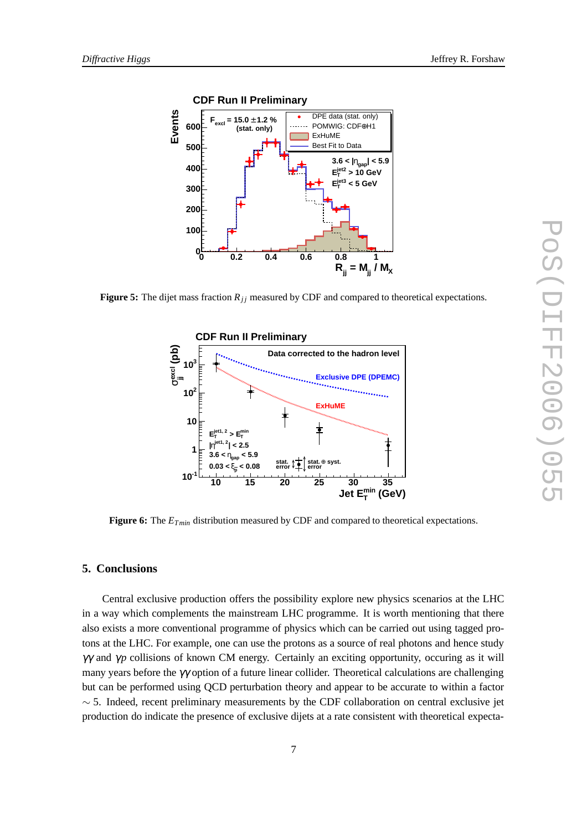

**Figure 5:** The dijet mass fraction  $R_{ji}$  measured by CDF and compared to theoretical expectations.



**Figure 6:** The *ETmin* distribution measured by CDF and compared to theoretical expectations.

# **5. Conclusions**

Central exclusive production offers the possibility explore new physics scenarios at the LHC in a way which complements the mainstream LHC programme. It is worth mentioning that there also exists a more conventional programme of physics which can be carried out using tagged protons at the LHC. For example, one can use the protons as a source of real photons and hence study γγ and γ*p* collisions of known CM energy. Certainly an exciting opportunity, occuring as it will many years before the  $\gamma\gamma$  option of a future linear collider. Theoretical calculations are challenging but can be performed using QCD perturbation theory and appear to be accurate to within a factor  $\sim$  5. Indeed, recent preliminary measurements by the CDF collaboration on central exclusive jet production do indicate the presence of exclusive dijets at a rate consistent with theoretical expecta